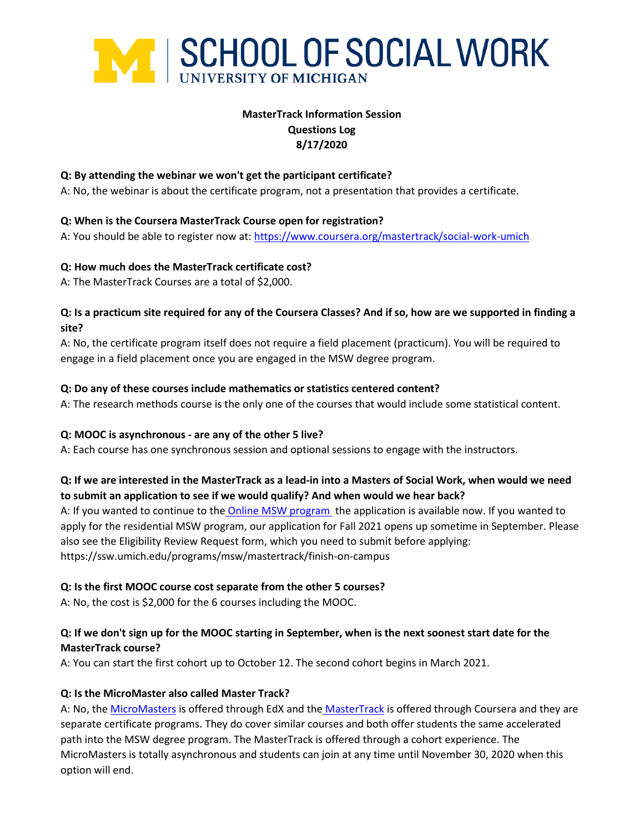

# **MasterTrack Information Session Questions Log 8/17/2020**

### **Q: By attending the webinar we won't get the participant certificate?**

A: No, the webinar is about the certificate program, not a presentation that provides a certificate.

### **Q: When is the Coursera MasterTrack Course open for registration?**

A: You should be able to register now at[: https://www.coursera.org/mastertrack/social-work-umich](https://www.coursera.org/mastertrack/social-work-umich)

### **Q: How much does the MasterTrack certificate cost?**

A: The MasterTrack Courses are a total of \$2,000.

### **Q: Is a practicum site required for any of the Coursera Classes? And if so, how are we supported in finding a site?**

A: No, the certificate program itself does not require a field placement (practicum). You will be required to engage in a field placement once you are engaged in the MSW degree program.

### **Q: Do any of these courses include mathematics or statistics centered content?**

A: The research methods course is the only one of the courses that would include some statistical content.

#### **Q: MOOC is asynchronous - are any of the other 5 live?**

A: Each course has one synchronous session and optional sessions to engage with the instructors.

# **Q: If we are interested in the MasterTrack as a lead-in into a Masters of Social Work, when would we need to submit an application to see if we would qualify? And when would we hear back?**

A: If you wanted to continue to the [Online MSW program](https://shibboleth-idp.collegenet.com/idp/profile/SAML2/Redirect/SSO?SAMLRequest=fZLLbsIwEEV%2FJfIenAQQqUUiUVgUiRZE0i66qRxnIJYcO%2FU4Tfn7hleBDTvLHp87c%2BwJ8krVbNq4Um%2FguwF03m%2BlNLLjQUwaq5nhKJFpXgEyJ1g6fV2ysO%2Bz2hpnhFHEmyKCddLomdHYVGBTsD9SwPtmGZPSuRoZpW3b9nldq30LeV%2BYimIp89wocCVN%2F5d9REMPESFdr9KMePOuJ6n5gX5lXa%2F2ZFF3NKVgBxrcEdxt0a65rVRwRm2gkBaEo2m6It5iHpOvqBgPg3w85gHPIz8YDQYiiiIQ4XZUFD5AV4bYwEKj49rFJPRDv%2BdHveApCwZsNGaj4Sfx1mcHz1IXUu8eC8tPRchesmzdO433ARaPo3UFJJkctLNjsL15iMdYfrFPkoufG893ZrgQptGOTuhN0Cm1Zm8deTFfGyXF3psqZdqZBe4gJgGhyenK%2FV9J%2FgA%3D&RelayState=https%3A%2F%2Fwww.applyweb.com%2Fshibboleth%2Fgatekeeper%3Fdest%3D%252Fcgi-bin%252Fapp%253Fs%253Dumssw) the application is available now. If you wanted to apply for the residential MSW program, our application for Fall 2021 opens up sometime in September. Please also see the Eligibility Review Request form, which you need to submit before applying: https://ssw.umich.edu/programs/msw/mastertrack/finish-on-campus

# **Q: Is the first MOOC course cost separate from the other 5 courses?**

A: No, the cost is \$2,000 for the 6 courses including the MOOC.

# **Q: If we don't sign up for the MOOC starting in September, when is the next soonest start date for the MasterTrack course?**

A: You can start the first cohort up to October 12. The second cohort begins in March 2021.

# **Q: Is the MicroMaster also called Master Track?**

A: No, the [MicroMasters](https://ssw.umich.edu/programs/micromasters) is offered through EdX and the [MasterTrack](https://ssw.umich.edu/admissions/msw/mastertrack) is offered through Coursera and they are separate certificate programs. They do cover similar courses and both offer students the same accelerated path into the MSW degree program. The MasterTrack is offered through a cohort experience. The MicroMasters is totally asynchronous and students can join at any time until November 30, 2020 when this option will end.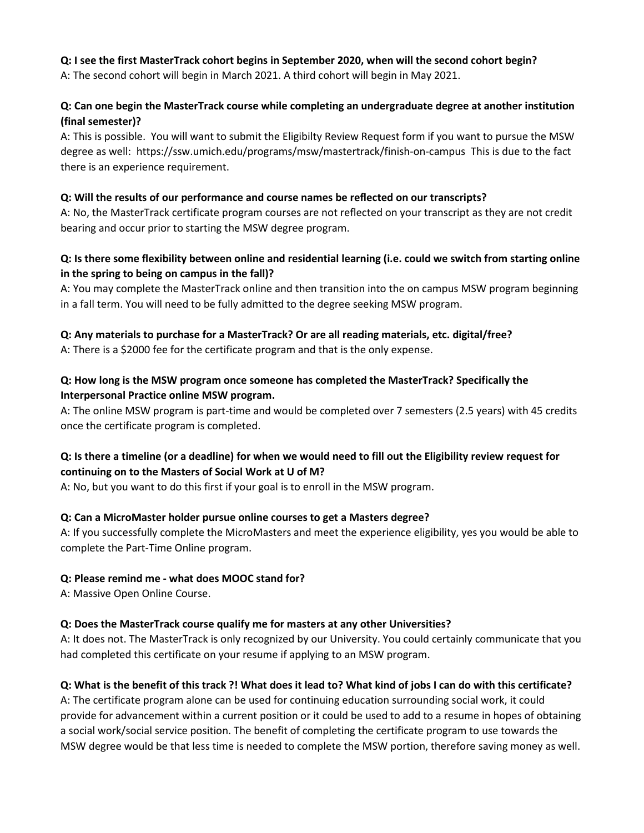# **Q: I see the first MasterTrack cohort begins in September 2020, when will the second cohort begin?**

A: The second cohort will begin in March 2021. A third cohort will begin in May 2021.

# **Q: Can one begin the MasterTrack course while completing an undergraduate degree at another institution (final semester)?**

A: This is possible. You will want to submit the Eligibilty Review Request form if you want to pursue the MSW degree as well: https://ssw.umich.edu/programs/msw/mastertrack/finish-on-campus This is due to the fact there is an experience requirement.

### **Q: Will the results of our performance and course names be reflected on our transcripts?**

A: No, the MasterTrack certificate program courses are not reflected on your transcript as they are not credit bearing and occur prior to starting the MSW degree program.

# **Q: Is there some flexibility between online and residential learning (i.e. could we switch from starting online in the spring to being on campus in the fall)?**

A: You may complete the MasterTrack online and then transition into the on campus MSW program beginning in a fall term. You will need to be fully admitted to the degree seeking MSW program.

# **Q: Any materials to purchase for a MasterTrack? Or are all reading materials, etc. digital/free?**

A: There is a \$2000 fee for the certificate program and that is the only expense.

# **Q: How long is the MSW program once someone has completed the MasterTrack? Specifically the Interpersonal Practice online MSW program.**

A: The online MSW program is part-time and would be completed over 7 semesters (2.5 years) with 45 credits once the certificate program is completed.

# **Q: Is there a timeline (or a deadline) for when we would need to fill out the Eligibility review request for continuing on to the Masters of Social Work at U of M?**

A: No, but you want to do this first if your goal is to enroll in the MSW program.

# **Q: Can a MicroMaster holder pursue online courses to get a Masters degree?**

A: If you successfully complete the MicroMasters and meet the experience eligibility, yes you would be able to complete the Part-Time Online program.

# **Q: Please remind me - what does MOOC stand for?**

A: Massive Open Online Course.

#### **Q: Does the MasterTrack course qualify me for masters at any other Universities?**

A: It does not. The MasterTrack is only recognized by our University. You could certainly communicate that you had completed this certificate on your resume if applying to an MSW program.

#### **Q: What is the benefit of this track ?! What does it lead to? What kind of jobs I can do with this certificate?**

A: The certificate program alone can be used for continuing education surrounding social work, it could provide for advancement within a current position or it could be used to add to a resume in hopes of obtaining a social work/social service position. The benefit of completing the certificate program to use towards the MSW degree would be that less time is needed to complete the MSW portion, therefore saving money as well.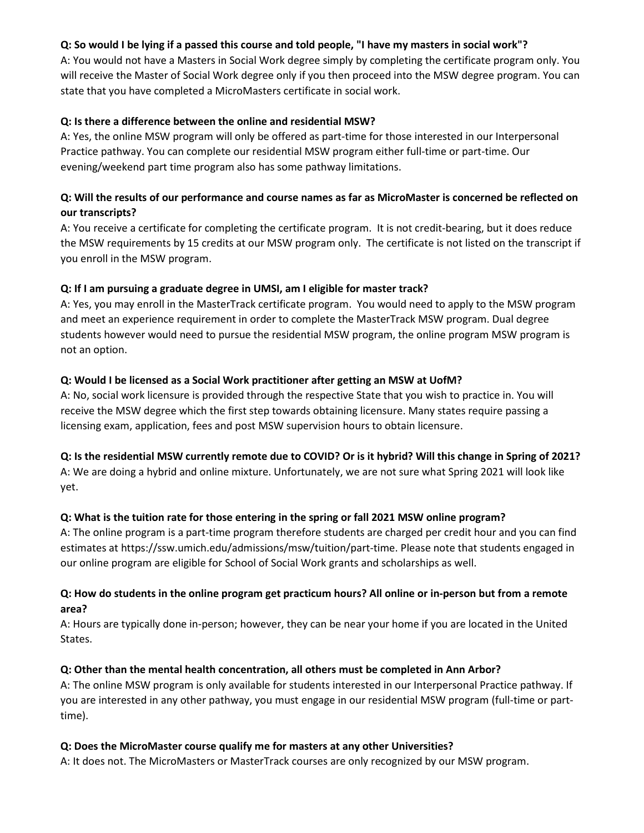# **Q: So would I be lying if a passed this course and told people, "I have my masters in social work"?**

A: You would not have a Masters in Social Work degree simply by completing the certificate program only. You will receive the Master of Social Work degree only if you then proceed into the MSW degree program. You can state that you have completed a MicroMasters certificate in social work.

### **Q: Is there a difference between the online and residential MSW?**

A: Yes, the online MSW program will only be offered as part-time for those interested in our Interpersonal Practice pathway. You can complete our residential MSW program either full-time or part-time. Our evening/weekend part time program also has some pathway limitations.

# **Q: Will the results of our performance and course names as far as MicroMaster is concerned be reflected on our transcripts?**

A: You receive a certificate for completing the certificate program. It is not credit-bearing, but it does reduce the MSW requirements by 15 credits at our MSW program only. The certificate is not listed on the transcript if you enroll in the MSW program.

# **Q: If I am pursuing a graduate degree in UMSI, am I eligible for master track?**

A: Yes, you may enroll in the MasterTrack certificate program. You would need to apply to the MSW program and meet an experience requirement in order to complete the MasterTrack MSW program. Dual degree students however would need to pursue the residential MSW program, the online program MSW program is not an option.

### **Q: Would I be licensed as a Social Work practitioner after getting an MSW at UofM?**

A: No, social work licensure is provided through the respective State that you wish to practice in. You will receive the MSW degree which the first step towards obtaining licensure. Many states require passing a licensing exam, application, fees and post MSW supervision hours to obtain licensure.

# **Q: Is the residential MSW currently remote due to COVID? Or is it hybrid? Will this change in Spring of 2021?**

A: We are doing a hybrid and online mixture. Unfortunately, we are not sure what Spring 2021 will look like yet.

# **Q: What is the tuition rate for those entering in the spring or fall 2021 MSW online program?**

A: The online program is a part-time program therefore students are charged per credit hour and you can find estimates at https://ssw.umich.edu/admissions/msw/tuition/part-time. Please note that students engaged in our online program are eligible for School of Social Work grants and scholarships as well.

# **Q: How do students in the online program get practicum hours? All online or in-person but from a remote area?**

A: Hours are typically done in-person; however, they can be near your home if you are located in the United States.

#### **Q: Other than the mental health concentration, all others must be completed in Ann Arbor?**

A: The online MSW program is only available for students interested in our Interpersonal Practice pathway. If you are interested in any other pathway, you must engage in our residential MSW program (full-time or parttime).

#### **Q: Does the MicroMaster course qualify me for masters at any other Universities?**

A: It does not. The MicroMasters or MasterTrack courses are only recognized by our MSW program.